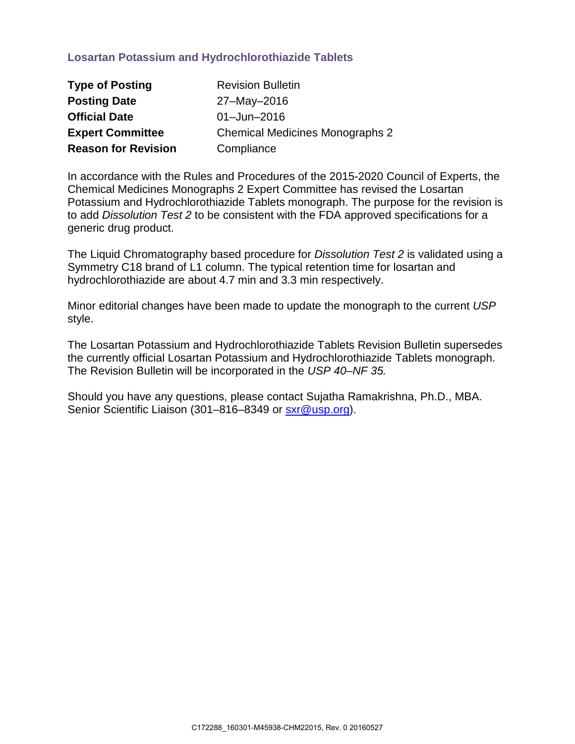## **Losartan Potassium and Hydrochlorothiazide Tablets**

| <b>Type of Posting</b>     | <b>Revision Bulletin</b>               |
|----------------------------|----------------------------------------|
| <b>Posting Date</b>        | 27-May-2016                            |
| <b>Official Date</b>       | $01 - Jun - 2016$                      |
| <b>Expert Committee</b>    | <b>Chemical Medicines Monographs 2</b> |
| <b>Reason for Revision</b> | Compliance                             |

In accordance with the Rules and Procedures of the 2015-2020 Council of Experts, the Chemical Medicines Monographs 2 Expert Committee has revised the Losartan Potassium and Hydrochlorothiazide Tablets monograph. The purpose for the revision is to add *Dissolution Test 2* to be consistent with the FDA approved specifications for a generic drug product.

The Liquid Chromatography based procedure for *Dissolution Test 2* is validated using a Symmetry C18 brand of L1 column. The typical retention time for losartan and hydrochlorothiazide are about 4.7 min and 3.3 min respectively.

Minor editorial changes have been made to update the monograph to the current *USP* style.

The Losartan Potassium and Hydrochlorothiazide Tablets Revision Bulletin supersedes the currently official Losartan Potassium and Hydrochlorothiazide Tablets monograph. The Revision Bulletin will be incorporated in the *USP 40–NF 35.* 

Should you have any questions, please contact Sujatha Ramakrishna, Ph.D., MBA. Senior Scientific Liaison (301-816-8349 or [sxr@usp.org\)](mailto:sxr@usp.org).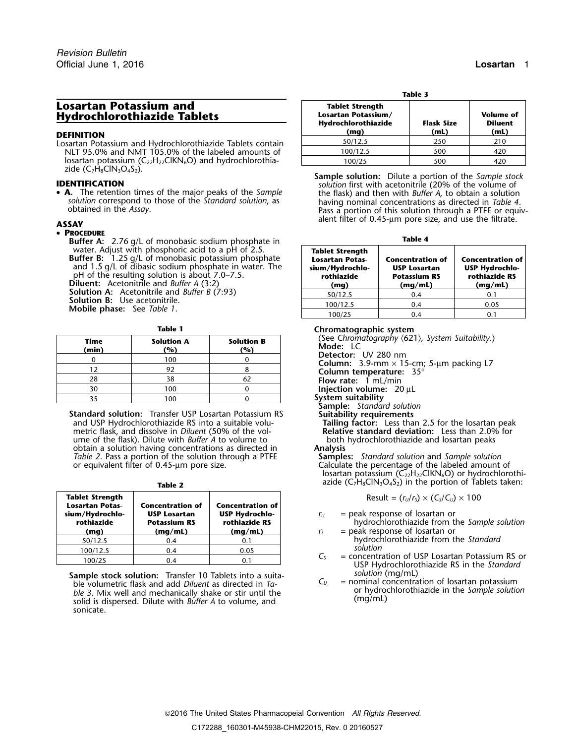### **Losartan Potassium and Hydrochlorothiazide Tablets**

Losartan Potassium and Hydrochlorothiazide Tablets contain NLT 95.0% and NMT 105.0% of the labeled amounts of losartan potassium ( $C_{22}H_{22}CH_{6}O$ ) and hydrochlorothia-

• A. The retention times of the major peaks of the Sample solution correspond to those of the *Standard solution*, as<br>obtained in the Assay.<br>Pass a portion of this solution through a PTFE or equiv-

### • **PROCEDURE**

**Buffer A:** 2.76 g/L of monobasic sodium phosphate in water. Adjust with phosphoric acid to a pH of 2.5. **Buffer B:** 1.25 g/L of monobasic potassium phosphate and 1.5 g/L of dibasic sodium phosphate in water. The pH of the resulting solution is about 7.0–7.5. **Diluent:** Acetonitrile and *Buffer A* (3:2) **Solution A:** Acetonitrile and *Buffer B* (7:93) **Solution B:** Use acetonitrile. **100.4** Mobile phase: See *Table 1*.

| I | ٠<br>M. |  |
|---|---------|--|

| (See Chromatogro<br>Mode: LC      | <b>Solution B</b><br>(%) | <b>Solution A</b><br>(%) | Time<br>(min) |
|-----------------------------------|--------------------------|--------------------------|---------------|
| Detector: UV 28<br>Column: 3.9-mr |                          | 100                      |               |
| Column tempera                    |                          | 92                       |               |
| <b>Flow rate: 1 mL</b>            |                          | 38                       | 28            |
| <b>Injection volume</b>           |                          | 100                      | 30            |
| System suitability                |                          | 100                      |               |

**Standard solution:** Transfer USP Losartan Potassium RS **Suitability requirements** and USP Hydrochlorothiazide RS into a suitable volu- **Tailing factor:** Less tha metric flask, and dissolve in *Diluent* (50% of the vol-<br>ume of the flask). Dilute with *Buffer A* to volume to both hydrochlorothiazide and losartan peaks ume of the flask). Dilute with *Buffer A* to volume to both both obtain a solution having concentrations as directed in **Analysis** obtain a solution having concentrations as directed in **Analysis** *Table 2*. Pass a portion of the solution through a PTFE or equivalent filter of 0.45-µm pore size.

| <b>Tablet Strength</b><br><b>Losartan Potas-</b><br>sium/Hydrochlo-<br>rothiazide<br>(mg) | <b>Concentration of</b><br><b>USP Losartan</b><br><b>Potassium RS</b><br>(mq/mL) | <b>Concentration of</b><br><b>USP Hydrochlo-</b><br>rothiazide RS<br>(mq/mL) |
|-------------------------------------------------------------------------------------------|----------------------------------------------------------------------------------|------------------------------------------------------------------------------|
| 50/12.5                                                                                   | 0.4                                                                              | 0.1                                                                          |
| 100/12.5                                                                                  | 0.4                                                                              | 0.05                                                                         |
| 100/25                                                                                    | 0.4                                                                              | ດ 1                                                                          |

**Sample stock solution:** Transfer 10 Tablets into a suita-<br>ble volumetric flask and add *Diluent* as directed in *Ta*ble 3. Mix well and mechanically shake or stir until the **Sample 3** or hydrochlorothias solid is dispersed. Dilute with *Buffer A* to volume, and (mg/mL) sonicate.

|                                                                   | Table 3                                       |     |                                                                         |  |
|-------------------------------------------------------------------|-----------------------------------------------|-----|-------------------------------------------------------------------------|--|
| Losartan Potassium and<br>Hydrochlorothiazide Tablets             | <b>Tablet Strength</b><br>Losartan Potassium/ |     | <b>Volume of</b><br><b>Flask Size</b><br><b>Diluent</b><br>(mL)<br>(mL) |  |
| <b>DEFINITION</b>                                                 | Hydrochlorothiazide<br>(mq)                   |     |                                                                         |  |
| Losartan Potassium and Hydrochlorothiazide Tablets contain        | 50/12.5                                       | 250 | 210                                                                     |  |
| NLT 95.0% and NMT 105.0% of the labeled amounts of                | 100/12.5                                      | 500 | 420                                                                     |  |
| losartan potassium ( $C_{22}H_{22}CH_{6}O$ ) and hydrochlorothia- | 100/25                                        | 500 | 420                                                                     |  |

zide (C<sub>7</sub>H<sub>8</sub>ClN<sub>3</sub>O<sub>4</sub>S<sub>2</sub>).<br>**IDENTIFICATION Sample solution:** Dilute a portion of the *Sample stock*<br>**A.** The retention times of the major peaks of the *Sample* **inter the flask**) and then with *Buffer A,* to obtain a alent filter of 0.45-µm pore size, and use the filtrate. **ASSAY**

|--|--|

| <b>Tablet Strength</b><br><b>Losartan Potas-</b><br>sium/Hydrochlo-<br>rothiazide<br>(mg) | <b>Concentration of</b><br><b>USP Losartan</b><br><b>Potassium RS</b><br>(mq/mL) | <b>Concentration of</b><br><b>USP Hydrochlo-</b><br>rothiazide RS<br>(mq/mL) |
|-------------------------------------------------------------------------------------------|----------------------------------------------------------------------------------|------------------------------------------------------------------------------|
| 50/12.5                                                                                   | 0.4                                                                              | 0.1                                                                          |
| 100/12.5                                                                                  | 0.4                                                                              | 0.05                                                                         |
|                                                                                           | 0.4                                                                              |                                                                              |

**Table 1 Chromatographic system**

(See Chromatography  $\langle 621 \rangle$ , System Suitability.) **Mode: LC**<br>**Detector:** UV 280 nm

**Column:** 3.9-mm × 15-cm; 5-µm packing L7<br>**Column temperature:** 35°<br>**Flow rate:** 1 mL/min

**Injection volume:** 20 µL

**Sample:** *Standard solution*

- Tailing factor: Less than 2.5 for the losartan peak<br>**Relative standard deviation:** Less than 2.0% for
- 

Calculate the percentage of the labeled amount of losartan potassium ( $\widetilde{C_{22}H_{22}CHKN_6O}$ ) or hydrochlorothi-**Table 2 azide** (C<sub>7</sub>H<sub>8</sub>ClN<sub>3</sub>O<sub>4</sub>S<sub>2</sub>) in the portion of Tablets taken:

 $\text{Result} = (r_U/r_S) \times (C_S/C_U) \times 100$ 

- $r_U$  = peak response of losartan or **rothiazide Potassium RS rothiazide RS** hydrochlorothiazide from the *Sample solution*
- **(mg) (mg/mL) (mg/mL)** *<sup>r</sup><sup>S</sup>* = peak response of losartan or 50/12.5 0.4 0.1 hydrochlorothiazide from the *Standard*
- *C<sub>S</sub>* = concentration of USP Losartan Potassium RS or USP Hydrochlorothiazide RS in the *Standard solution* (mg/mL)
	- = nominal concentration of losartan potassium<br>or hydrochlorothiazide in the *Sample solution*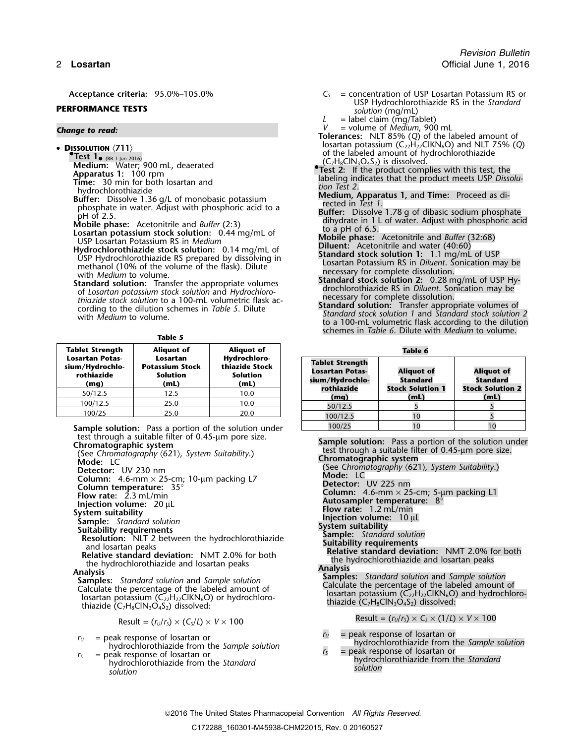# **PERFORMANCE TESTS solution** (mg/mL)

**<sup>D</sup>ISSOLUTION** 〈**711**〉 **•**

**Test 1<sub>• (RB 1-Jun-2016)**<br> **Medium:** Water; 900 mL, deaerated **•** (C<sub>7</sub>H<sub>8</sub>ClN<sub>3</sub>O4S<sub>2</sub>) is dissolved. Water; 900 mL, deaerated **•**</sub>

**Apparatus 1:** 100 rpm<br> **Apparatus 1:** 100 rpm<br> **Time:** 30 min for both losartan and<br>
hydrochlorothiazide<br>
Buffer: Dissolve 1.36 g/L of monobasic potassium<br>
phosphate in water. Adjust with phosphoric acid to a<br> **Buffer:** D

- 
- Mobile phase: Acetonitrile and *Buffer* (2:3)<br> **Losartan potassium stock solution:** 0.44 mg/mL of<br>
USP Losartan Potassium RS in *Medium*<br>
Hydrochlorothiazide stock solution: 0.14 mg/mL of<br>
USP Hydrochlorothiazide stock sol USP Hydrochlorothiazide RS prepared by dissolving in<br>methanol (10% of the volume of the flask). Dilute<br>with *Medium* to volume.<br>with *Medium* to volume.

with Medium to volume.<br>
Standard solution: Transfer the appropriate volumes<br>
of Losartan potassium stock solution and Hydrochloro-<br>
of Losartan potassium stock solution and Hydrochloro-<br>
thiazide stock solution to a 100-mL

**Table 5**

| <b>Tablet Strength</b>                                          | <b>Aliquot of</b>                                             | <b>Aliquot of</b>                                         | Table 6                                                                                                                                              |                                      |                                 |
|-----------------------------------------------------------------|---------------------------------------------------------------|-----------------------------------------------------------|------------------------------------------------------------------------------------------------------------------------------------------------------|--------------------------------------|---------------------------------|
| <b>Losartan Potas-</b><br>sium/Hydrochlo-<br>rothiazide<br>(mg) | Losartan<br><b>Potassium Stock</b><br><b>Solution</b><br>(mL) | Hydrochloro-<br>thiazide Stock<br><b>Solution</b><br>(mL) | <b>Tablet Strength</b><br><b>Losartan Potas-</b><br><b>Aliauot</b> of<br>sium/Hydrochlo-<br><b>Standard</b><br>rothiazide<br><b>Stock Solution 1</b> | <b>Aliquot of</b><br><b>Standard</b> |                                 |
| 50/12.5                                                         | 12.5                                                          | 10.0                                                      | (mg)                                                                                                                                                 | (mL)                                 | <b>Stock Solution 2</b><br>(mL) |
| 100/12.5                                                        | 25.0                                                          | 10.0                                                      | 50/12.5                                                                                                                                              |                                      |                                 |
| 100/25                                                          | 25.0                                                          | 20.0                                                      | 100/125                                                                                                                                              |                                      |                                 |

**Sample solution:** Pass a portion of the solution under test through a suitable filter of 0.45-µm pore size.

- 
- 
- 

- 
- 

- 
- 
- 

$$
Result = (r_U/r_S) \times (C_S/L) \times V \times 100
$$

- $r_U$  = peak response of losartan or<br>
hydrochlorothiazide from the *Sample solution*<br>  $r_S$  = peak response of losartan or<br>
hydrochlorothiazide from the *Standard*<br>
solution<br>
solution<br>
solution<br>
solution
- 
- Acceptance criteria: 95.0%–105.0% **C**<sub>S</sub> = concentration of USP Losartan Potassium RS or USP Hydrochlorothiazide RS in the *Standard*
	-
	- $L =$  label claim (mg/Tablet)<br> $V =$  volume of *Medium*, 900 mL

*<sup>V</sup>* = volume of *Medium*, <sup>900</sup> mL *Change to read:* **Tolerances:** NLT 85% (*Q*) of the labeled amount of losartan potassium (C<sub>22</sub>H<sub>22</sub>ClKN<sub>6</sub>O) and NLT 75% (Q) of the labeled amount of hydrochlorothiazide  $(C_7H_8CIN_3O_4S_2)$  is dissolved.

- 
- 
- 
- 
- 
- 
- 
- 
- schemes in *Table 6*. Dilute with *Medium* to volume.

| rtan rotas-<br>'Hydrochlo-<br>thiazide<br>(mq) | Losartan<br><b>Potassium Stock</b><br><b>Solution</b><br>(mL) | -Hyarocnioro<br>thiazide Stock<br><b>Solution</b><br>(mL) | <b>Tablet Strength</b><br><b>Losartan Potas-</b><br>sium/Hydrochlo-<br>rothiazide | <b>Aliquot of</b><br>Standard<br><b>Stock Solution 1</b> | <b>Aliquot of</b><br>Standard<br><b>Stock Solution 2</b> |
|------------------------------------------------|---------------------------------------------------------------|-----------------------------------------------------------|-----------------------------------------------------------------------------------|----------------------------------------------------------|----------------------------------------------------------|
| 50/12.5                                        | 12.5                                                          | 10.0                                                      | (mq)                                                                              | (mL)                                                     | (mL)                                                     |
| 00/12.5                                        | 25.0                                                          | 10.0                                                      | 50/12.5                                                                           |                                                          |                                                          |
| 100/25                                         | 25.0                                                          | 20.0                                                      | 100/12.5                                                                          |                                                          |                                                          |
|                                                | <b>mple solution:</b> Pass a portion of the solution under    |                                                           | 100/25                                                                            |                                                          |                                                          |

Example solution: Pass a portion of the solution under<br>Chromatographic system<br>(See Chromatography (621), System Suitability.)<br>Mode: LC<br>Mode: LC **Mode:** LC **Chromatographic system**

| <b>IVIUUE.</b> LL                                            | (See Chromatography (621), System Suitability.)                  |
|--------------------------------------------------------------|------------------------------------------------------------------|
| Detector: UV 230 nm                                          | Mode: LC                                                         |
| Column: 4.6-mm $\times$ 25-cm; 10-µm packing L7              | <b>Detector: UV 225 nm</b>                                       |
| Column temperature: $35^{\circ}$                             | <b>Column:</b> 4.6-mm $\times$ 25-cm; 5-µm packing L1            |
| Flow rate: $2.3$ mL/min                                      | Autosampler temperature: $8^\circ$                               |
| Injection volume: $20 \mu L$                                 | Flow rate: $1.2$ mL/min                                          |
| System suitability                                           | Injection volume: $10 \mu L$                                     |
| <b>Sample:</b> Standard solution                             | System suitability                                               |
| <b>Suitability requirements</b>                              | <b>Sample:</b> Standard solution                                 |
| Resolution: NLT 2 between the hydrochlorothiazide            | <b>Suitability requirements</b>                                  |
| and losartan peaks                                           | <b>Relative standard deviation: NMT 2.0% for both</b>            |
| <b>Relative standard deviation:</b> NMT 2.0% for both        | the hydrochlorothiazide and losartan peaks                       |
| the hydrochlorothiazide and losartan peaks                   | Analysis                                                         |
| Analysis                                                     | <b>Samples:</b> Standard solution and Sample solution            |
| <b>Samples:</b> Standard solution and Sample solution        | Calculate the percentage of the labeled amount of                |
| Calculate the percentage of the labeled amount of            | losartan potassium ( $C_{22}H_{22}CH_{6}O$ ) and hydrochloro-    |
| losartan potassium ( $C_{22}H_{22}CH_{6}O$ ) or hydrochloro- | thiazide $(C_7H_8CN_3O_4S_2)$ dissolved:                         |
| thiazide $(C_7H_8CIN_3O_4S_2)$ dissolved:                    | Result = $(r_U/r_S) \times C_S \times (1/L) \times V \times 100$ |
| Result = $(r_U/r_s) \times (C_s/L) \times V \times 100$      |                                                                  |

- 
-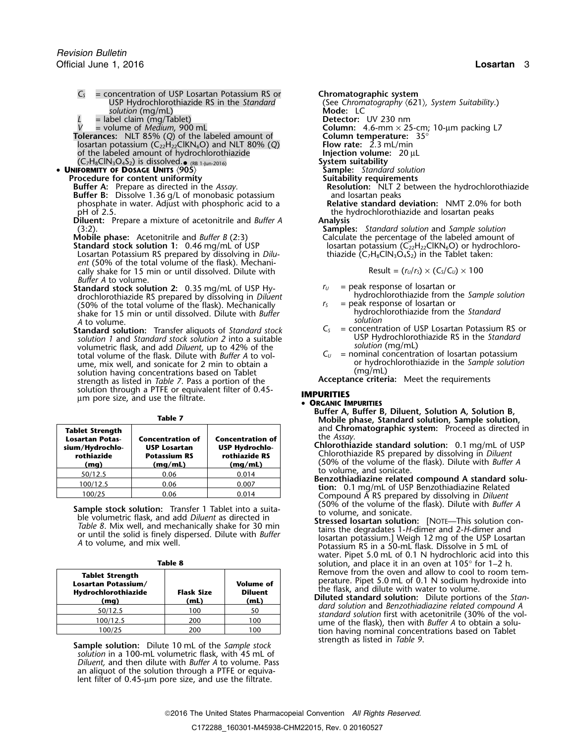- $C_5$  = concentration of USP Losartan Potassium RS or **Chromatographic system**<br>USP Hydrochlorothiazide RS in the Standard (See Chromatography  $\langle 62 \rangle$ solution (mg/mL)
	-
- $=$  label claim (mg/Tablet)<br> $=$  volume of *Medium*, 900 mL
- **Tolerances:** NLT 85% (Q) of the labeled amount of **Column temperature:**  $\frac{1}{10}$  losartan potassium (C<sub>22</sub>H<sub>22</sub>CIKN<sub>6</sub>O) and NLT 80% (Q) **Flow rate:** 2.3 mL/min losartan potassium (C22H22ClKN6O) and NLT 80% (*Q*) **Flow rate:** 2.3 mL/min of the labeled amount of hydrochlorothiazide
- 
- - **Buffer B:** Dissolve 1.36 g/L of monobasic potassium and losartan peaks<br>
	phosphate in water. Adjust with phosphoric acid to a **Relative standard deviation:** NMT 2.0% for both phosphate in water. Adjust with phosphoric acid to a pH of 2.5.
	- **Diluent:** Prepare a mixture of acetonitrile and *Buffer A*
	-
	- Losartan Potassium RS prepared by dissolving in *Diluent* (50% of the total volume of the flask). Mechanically shake for 15 min or until dissolved. Dilute with Result =  $(r<sub>U</sub>/r<sub>S</sub>) \times (C<sub>S</sub>/C<sub>U</sub>) \times 100$ *Buffer A* to volume.
	- **Standard stock solution 2:** 0.35 mg/mL of USP Hy-<br>drochlorothiazide from the Sample solution<br>drochlorothiazide RS prepared by dissolving in *Diluent* hydrochlorothiazide from the Sample solution drochlorothiazide RS prepared by dissolving in *Diluent* hydrochlorothiazide from the *Sample solution* of the *flask*). Mechanically the *Sample solution* of the *Sample solution* or *S* and *Sample solution* or *Sample s* (50% of the total volume of the flask). Mechanically  $r_s$  = peak response of losartan or (50% of the standard shake for 15 min or until dissolved Dilute with *Ruffer* shake for the Standard shake for 15 min or until dissolved. Dilute with *Buffer* A to volume.<br> **A** to volume.<br> **itandard solution:** Transfer aliquots of Standard stock  $C_s$  = concentration of USP Losartan Potassium RS or

**Standard solution:** *C<sub>S</sub>* = concentration of USP Losartan Potassium RS or Transfer aliquots of *Standard stock*<br>Solution 1 and *Standard stock solution* 2 into a suitable<br>USP Hydrochlorothiazide RS in the *Standard solution 1* and *Standard stock solution 2* into a suitable USP Hydrochlorothian under the *Solution* (mg/mL) volumetric flask, and add *Diluent, solution* (mg/mL) up to 42% of the total volume of the flask. Dilute with *Buffer A* to vol- *C<sup>U</sup>* = nominal concentration of losartan potassium ume, mix well, and sonicate for 2 min to obtain a or hydrochlorothiazide in the *Sample solution*<br>solution having concentrations based on Tablet (mg/mL) (mg/mL) solution having concentrations based on Tablet **Acceptance criteria:** Meet the requirements strength as listed in *Table 7*. Pass a portion of the solution through a PTFE or equivalent filter of 0.45-**IMPURITIES**<br>um pore size, and use the filtrate.

| <b>Tablet Strength</b><br><b>Losartan Potas-</b><br>sium/Hydrochlo-<br>rothiazide<br>(mq) | <b>Concentration of</b><br><b>USP Losartan</b><br><b>Potassium RS</b><br>(mq/mL) | <b>Concentration of</b><br><b>USP Hydrochlo-</b><br>rothiazide RS<br>(mq/mL) |
|-------------------------------------------------------------------------------------------|----------------------------------------------------------------------------------|------------------------------------------------------------------------------|
| 50/12.5                                                                                   | 0.06                                                                             | 0.014                                                                        |
| 100/12.5                                                                                  | 0.06                                                                             | 0.007                                                                        |
| 100/25                                                                                    | 0.06                                                                             | 0.014                                                                        |

**Sample stock solution:** Transfer 1 Tablet into a suitable volume, and solution: Transfer 1 Tablet into a suita-<br>
be volume, and solution: [NOTE—This solution con-<br>
Table 8. Mix well, and mechanically shake for 30 min<br>
or

| ۰.<br>M.<br>۰.<br>×<br>۰.<br>× |
|--------------------------------|
|--------------------------------|

| <b>Tablet Strength</b><br>Losartan Potassium/<br>Hydrochlorothiazide<br>(mg) | <b>Flask Size</b><br>(mL) | <b>Volume of</b><br><b>Diluent</b><br>(mL) | Remove from the oven and allow to cool to room tem-<br>perature. Pipet 5.0 mL of 0.1 N sodium hydroxide into<br>the flask, and dilute with water to volume.<br><b>Diluted standard solution:</b> Dilute portions of the Stan- |
|------------------------------------------------------------------------------|---------------------------|--------------------------------------------|-------------------------------------------------------------------------------------------------------------------------------------------------------------------------------------------------------------------------------|
| 50/12.5                                                                      | 100                       | 50                                         | dard solution and Benzothiadiazine related compound A<br>standard solution first with acetonitrile (30% of the vol-                                                                                                           |
| 100/12.5                                                                     | 200                       | 100                                        | ume of the flask), then with <i>Buffer A</i> to obtain a solu-                                                                                                                                                                |
| 100/25                                                                       | 200                       | 100                                        | tion having nominal concentrations hased on Tablet                                                                                                                                                                            |

Sample solution: Dilute 10 mL of the Sample stock *solution* in a 100-mL volumetric flask, with 45 mL of *Diluent,* and then dilute with *Buffer A* to volume. Pass an aliquot of the solution through a PTFE or equivalent filter of 0.45-µm pore size, and use the filtrate.

(See Chromatography  $\langle 621 \rangle$ , System Suitability.)<br>Mode: LC *Preector:* UV 230 nm<br> **Column:** 4.6-mm × 25-cm; 10-μm packing L7<br> **Column temperature:** 35° (C7H8ClN3O4S2) is dissolved.•• **UNIFORMITY OF DOSAGE UNITS** 〈**905**〉 **Sample:** *Standard solution* System suitability<br>Sample: Standard solution **Procedure for content uniformity**<br>**Buffer A:** Prepare as directed in the Assay. **Suitability requirements**<br>**Resolution:** NLT 2 bety **Resolution:** NLT 2 between the hydrochlorothiazide and losartan peaks the hydrochlorothiazide and losartan peaks<br>Analysis (3:2). **Samples:** *Standard solution* and *Sample solution* **Mobile phase:** Acetonitrile and *Buffer B* (2:3) Calculate the percentage of the labeled amount of **Standard stock solution 1:** 0.46 mg/mL of USP losartan potassium (C<sub>22</sub>H<sub>22</sub>ClKN<sub>6</sub>O) or hydrochlorc **Iosartan potassium (C<sub>22</sub>H<sub>22</sub>ClKN<sub>6</sub>O) or hydrochloro-**<br>thiazide (C<sub>7</sub>H<sub>8</sub>ClN<sub>3</sub>O<sub>4</sub>S<sub>2</sub>) in the Tablet taken:

- 
- 
- 
- 
- 

### **ORGANIC IMPURITIES**

- **Buffer A, Buffer B, Diluent, Solution A, Solution B, Table 7 Mobile phase, Standard solution, Sample solution,** and **Chromatographic system:** Proceed as directed in the *Assav*.
	- **Chlorothiazide standard solution:** 0.1 mg/mL of USP Chlorothiazide RS prepared by dissolving in *Diluent* **rothiazide Potassium RS rothiazide RS** (50% of the volume of the flask). Dilute with *Buffer A* to volume, and sonicate.
	- Benzothiadiazine related compound A standard solution: 0.1 mg/mL of USP Benzothiadiazine Related Compound A RS prepared by dissolving in *Diluent* (50% of the volume of the flask). Dilute with *Buffer A*
	- water. Pipet 5.0 mL of 0.1 N hydrochloric acid into this solution, and place it in an oven at 105° for 1–2 h.<br>Remove from the oven and allow to cool to room tem-
	- tion having nominal concentrations based on Tablet strength as listed in Table 9.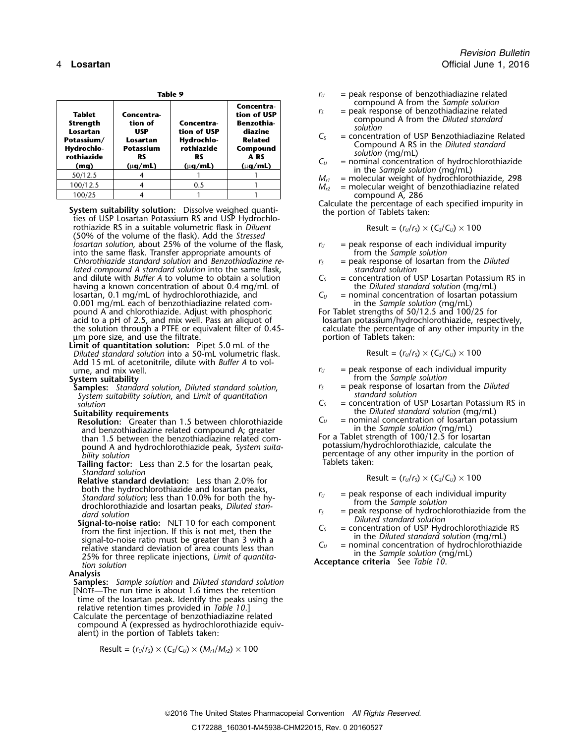| Table 9 |                                                                                  |                                                                             |                                                                             |                                                                                                   | $r_{U}$                           | $=$ peak response of benzothiadiazine related                                                                                                                                                                                                                                                                                                  |  |
|---------|----------------------------------------------------------------------------------|-----------------------------------------------------------------------------|-----------------------------------------------------------------------------|---------------------------------------------------------------------------------------------------|-----------------------------------|------------------------------------------------------------------------------------------------------------------------------------------------------------------------------------------------------------------------------------------------------------------------------------------------------------------------------------------------|--|
|         | Tablet<br>Strength<br>Losartan<br>Potassium/<br>Hydrochlo-<br>rothiazide<br>(mq) | Concentra-<br>tion of<br>USP<br>Losartan<br>Potassium<br>RS<br>$(\mu q/mL)$ | Concentra-<br>tion of USP<br>Hydrochlo-<br>rothiazide<br>RS<br>$(\mu q/mL)$ | Concentra-<br>tion of USP<br>Benzothia-<br>diazine<br>Related<br>Compound<br>A RS<br>$(\mu q/mL)$ | $r_{\rm S}$<br>$C_{S}$<br>$C_{U}$ | compound A from the Sample solution<br>$=$ peak response of benzothiadiazine related<br>compound A from the Diluted standard<br>solution<br>= concentration of USP Benzothiadiazine Related<br>Compound A RS in the Diluted standard<br>solution (mg/mL)<br>$=$ nominal concentration of hydrochlorothiazide<br>in the Sample solution (mg/mL) |  |
|         | 50/12.5                                                                          |                                                                             |                                                                             |                                                                                                   | $M_{r1}$                          | = molecular weight of hydrochlorothiazide, 298                                                                                                                                                                                                                                                                                                 |  |
|         | 100/12.5                                                                         |                                                                             | 0.5                                                                         |                                                                                                   | $M_{r2}$                          | = molecular weight of benzothiadiazine related                                                                                                                                                                                                                                                                                                 |  |
|         | 100/25                                                                           |                                                                             |                                                                             |                                                                                                   |                                   | compound A, 286                                                                                                                                                                                                                                                                                                                                |  |

**Calculate System suitability solution:** Dissolve weighed quanti-<br>ties of USP Losartan Potassium RS and USP Hydrochlo-<br>ties of USP Losartan Potassium RS and USP Hydrochlorothiazide RS in a suitable volumetric flask in *Diluent* (50% of the volume of the flask). Add the *Stressed losartan solution,* about 25% of the volume of the flask,  $r_U =$  peak response of each individual impurity into the same flask. Transfer appropriate amounts of *ru* from the *Sample solution* into the same flask. Transfer appropriate amounts of from the *Sample solution*<br>Chlorothiazide standard solution and *Benzothiadiazine re*  $r_s$  = peak response of losartan from the *Diluted Chlorothiazide standard solution* and *Benzothiadiazine re-*<br>*Iated compound A standard solution* into the same flask, the *Standard solution lated compound A standard solution* into the same flask, *standard solution* and dilute with *Buffer A* to volume to obtain a solution having a known concentration of about 0.4 mg/mL of the *Diluted standard solution* (mg/mL)<br>losartan, 0.1 mg/mL of hydrochlorothiazide, and the same of the *Diluted standard solution* of losartan potassium losartan, 0.1 mg/mL of hydrochlorothiazide, and *C<sub>U</sub>* = nominal concentration of losartan potassium of losartan potassium of losartan potassium of losartan potassium of losartan potassium of the sample solution (mg/mL) 0.001 mg/mL each of benzothiadiazine related com-<br>
pound A and chlorothiazide. Adjust with phosphoric For Tablet strengths of 50/12.5 and 100/25 for pound  $\overline{A}$  and chlorothiazide. Adjust with phosphoric acid to a pH of 2.5, and mix well. Pass an aliquot of the solution through a PTFE or equivalent filter of 0.45- calculate the percentage um pore size, and use the filtrate. um pore size, and use the filtrate.

**Limit of quantitation solution:** Pipet 5.0 mL of the<br> *Diluted standard solution* into a 50-mL volumetric flask. Result = ( $r_v/r_s$ ) × (C<sub>S</sub>/C<sub>*U*</sub>) × 100 Add 15 mL of acetonitrile, dilute with *Buffer A* to vol $r_U$  = peak response of each individual impurity ume, and mix well.

**Samples:** *Standard solution, Diluted standard solution, r<sub>S</sub>* = peak response of losartan from the *Distriction standard solution* and *Limit of quantitation System suitability solution, and Limit of quantitation C<sub>s</sub>*<br>*Solution* 

**Resolution:** Greater than 1.5 between chlorothiazide  $C_U$  = nominal concentration of losartan and benzothiadiazine related compound A: greater in the *Sample solution* (mg/mL) and benzothiadiazine related compound A; greater in the *Sample solution* (mg/mL)<br>than 1.5 between the benzothiadiazine related com-<br>For a Tablet strength of 100/12.5 for losartan than 1.5 between the benzothiadiazine related com-<br>potassium/hydrochlorothiazide, calculate the<br>potassium/hydrochlorothiazide, calculate the pound A and hydrochlorothiazide peak, *System suita-*<br>bility solution

- Tailing factor: Less than 2.5 for the losartan peak, *Standard solution*<br>**Relative standard deviation:** Less than 2.0% for
- both the hydrochlorothiazide and losartan peaks,<br>
Standard solution; less than 10.0% for both the hy-<br>
drochlorothiazide and losartan peaks, *Diluted stan-*<br>  $r_s$  = peak response of hydrochlorothiazide from the<br>
dard solu
- dard solution<br>
Signal-to-noise ratio: NLT 10 for each component<br>
from the first injection. If this is not met, then the<br>
signal-to-noise ratio: NLT 10 for each component<br>
from the first injection. If this is not met, then

### **Analysis**

**Samples:** *Sample solution* and *Diluted standard solution* [NOTE—The run time is about 1.6 times the retention time of the losartan peak. Identify the peaks using the

relative retention times provided in *Table 10*.] Calculate the percentage of benzothiadiazine related compound A (expressed as hydrochlorothiazide equivalent) in the portion of Tablets taken:

$$
\text{Result} = (r_U/r_S) \times (C_S/C_U) \times (M_{r1}/M_{r2}) \times 100
$$

- $r_U$  = peak response of benzothiadiazine related compound A from the *Sample solution*<br>  $r_s$  = peak response of benzothiadiazine relate
	- *r* = peak response of benzothiadiazine related **compound** A from the *Diluted standard*
- 
- 
- 
- compound A, 286<br>Calculate the percentage of each specified impurity in

$$
Result = (r_U/r_S) \times (C_S/C_U) \times 100
$$

- 
- 
- 
- 

losartan potassium/hydrochlorothiazide, respectively, calculate the percentage of any other impurity in the

$$
Result = (r_U/r_S) \times (C_S/C_U) \times 100
$$

- 
- **System suitability**<br>**System suitability**<br>**Samples:** Standard solution. Diluted standard solution. Frace peak response of losartan from the Diluted
	- *solution C<sup>S</sup>* = concentration of USP Losartan Potassium RS in
- **Suitability requirements**<br>**Resolution**: Greater than 1.5 between chlorothiazide  $C_U$  = nominal concentration of losartan potassium
	- percentage of any other impurity in the portion of Tablets taken:

$$
Result = (r_U/r_S) \times (C_S/C_U) \times 100
$$

- 
- 
- 
-